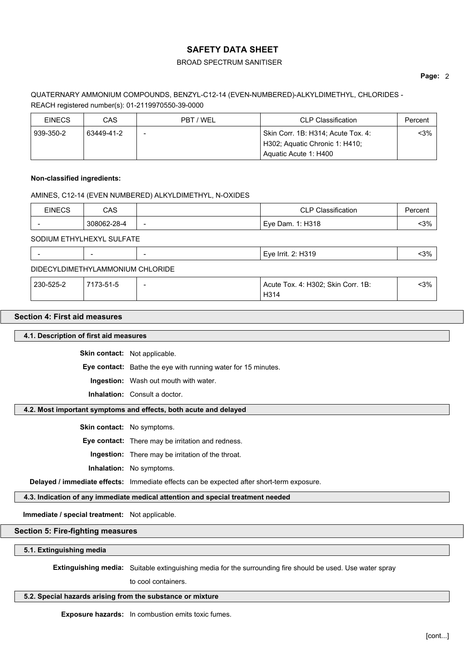## BROAD SPECTRUM SANITISER

### **Page:** 2

# QUATERNARY AMMONIUM COMPOUNDS, BENZYL-C12-14 (EVEN-NUMBERED)-ALKYLDIMETHYL, CHLORIDES - REACH registered number(s): 01-2119970550-39-0000

| <b>EINECS</b> | CAS        | PBT / WEL | <b>CLP Classification</b>          | Percent |
|---------------|------------|-----------|------------------------------------|---------|
| 939-350-2     | 63449-41-2 | $\,$      | Skin Corr. 1B: H314; Acute Tox. 4: | <3% ∣   |
|               |            |           | H302; Aquatic Chronic 1: H410;     |         |
|               |            |           | Aquatic Acute 1: H400              |         |

### **Non-classified ingredients:**

### AMINES, C12-14 (EVEN NUMBERED) ALKYLDIMETHYL, N-OXIDES

| <b>EINECS</b> | CAS         |                          | <b>CLP Classification</b> | Percent |
|---------------|-------------|--------------------------|---------------------------|---------|
|               | 308062-28-4 | $\overline{\phantom{a}}$ | Eye Dam. 1: H318          | 3%      |

SODIUM ETHYLHEXYL SULFATE

## DIDECYLDIMETHYLAMMONIUM CHLORIDE

| 230-525-2 | 7173-51-5 | Acute Tox. 4: H302; Skin Corr. 1B: | $3%$ |  |
|-----------|-----------|------------------------------------|------|--|
|           |           | H314                               |      |  |

### **Section 4: First aid measures**

**4.1. Description of first aid measures**

**Skin contact:** Not applicable.

**Eye contact:** Bathe the eye with running water for 15 minutes.

**Ingestion:** Wash out mouth with water.

**Inhalation:** Consult a doctor.

### **4.2. Most important symptoms and effects, both acute and delayed**

**Skin contact:** No symptoms.

**Eye contact:** There may be irritation and redness.

**Ingestion:** There may be irritation of the throat.

**Inhalation:** No symptoms.

**Delayed / immediate effects:** Immediate effects can be expected after short-term exposure.

**4.3. Indication of any immediate medical attention and special treatment needed**

**Immediate / special treatment:** Not applicable.

**Section 5: Fire-fighting measures**

**5.1. Extinguishing media**

**Extinguishing media:** Suitable extinguishing media for the surrounding fire should be used. Use water spray

to cool containers.

# **5.2. Special hazards arising from the substance or mixture**

**Exposure hazards:** In combustion emits toxic fumes.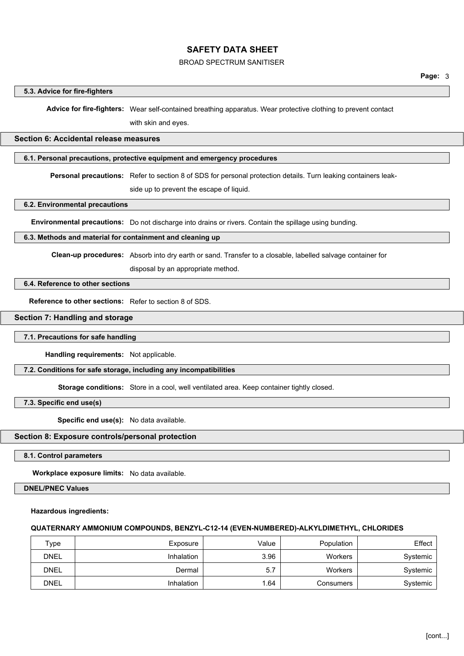## BROAD SPECTRUM SANITISER

#### **5.3. Advice for fire-fighters**

**Advice for fire-fighters:** Wear self-contained breathing apparatus. Wear protective clothing to prevent contact

with skin and eyes.

# **Section 6: Accidental release measures**

### **6.1. Personal precautions, protective equipment and emergency procedures**

**Personal precautions:** Refer to section 8 of SDS for personal protection details. Turn leaking containers leak-

side up to prevent the escape of liquid.

#### **6.2. Environmental precautions**

**Environmental precautions:** Do not discharge into drains or rivers. Contain the spillage using bunding.

#### **6.3. Methods and material for containment and cleaning up**

**Clean-up procedures:** Absorb into dry earth or sand. Transfer to a closable, labelled salvage container for

disposal by an appropriate method.

#### **6.4. Reference to other sections**

**Reference to other sections:** Refer to section 8 of SDS.

#### **Section 7: Handling and storage**

#### **7.1. Precautions for safe handling**

**Handling requirements:** Not applicable.

#### **7.2. Conditions for safe storage, including any incompatibilities**

**Storage conditions:** Store in a cool, well ventilated area. Keep container tightly closed.

**7.3. Specific end use(s)**

**Specific end use(s):** No data available.

#### **Section 8: Exposure controls/personal protection**

**8.1. Control parameters**

**Workplace exposure limits:** No data available.

**DNEL/PNEC Values**

#### **Hazardous ingredients:**

#### **QUATERNARY AMMONIUM COMPOUNDS, BENZYL-C12-14 (EVEN-NUMBERED)-ALKYLDIMETHYL, CHLORIDES**

| Type        | Exposure   | Value | Population | Effect   |
|-------------|------------|-------|------------|----------|
| <b>DNEL</b> | Inhalation | 3.96  | Workers    | Systemic |
| <b>DNEL</b> | Dermal     | 5.7   | Workers    | Systemic |
| <b>DNEL</b> | Inhalation | .64   | Consumers  | Systemic |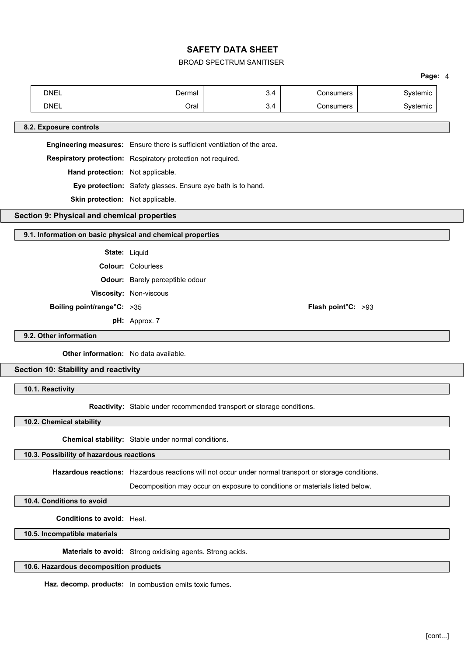## BROAD SPECTRUM SANITISER

## **Page:** 4

|                                                            | <b>DNEL</b>                      |                                                             | Dermal                                                                    | 3.4 | Consumers          | Systemic |  |
|------------------------------------------------------------|----------------------------------|-------------------------------------------------------------|---------------------------------------------------------------------------|-----|--------------------|----------|--|
|                                                            | <b>DNEL</b>                      |                                                             | Oral                                                                      | 3.4 | Consumers          | Systemic |  |
|                                                            |                                  |                                                             |                                                                           |     |                    |          |  |
|                                                            | 8.2. Exposure controls           |                                                             |                                                                           |     |                    |          |  |
|                                                            |                                  |                                                             | Engineering measures: Ensure there is sufficient ventilation of the area. |     |                    |          |  |
|                                                            |                                  |                                                             | Respiratory protection: Respiratory protection not required.              |     |                    |          |  |
|                                                            | Hand protection: Not applicable. |                                                             |                                                                           |     |                    |          |  |
|                                                            |                                  | Eye protection: Safety glasses. Ensure eye bath is to hand. |                                                                           |     |                    |          |  |
| Skin protection: Not applicable.                           |                                  |                                                             |                                                                           |     |                    |          |  |
| Section 9: Physical and chemical properties                |                                  |                                                             |                                                                           |     |                    |          |  |
| 9.1. Information on basic physical and chemical properties |                                  |                                                             |                                                                           |     |                    |          |  |
|                                                            |                                  |                                                             |                                                                           |     |                    |          |  |
|                                                            |                                  | State: Liquid                                               |                                                                           |     |                    |          |  |
|                                                            |                                  |                                                             | <b>Colour: Colourless</b>                                                 |     |                    |          |  |
|                                                            |                                  |                                                             | <b>Odour:</b> Barely perceptible odour                                    |     |                    |          |  |
|                                                            |                                  |                                                             | Viscosity: Non-viscous                                                    |     |                    |          |  |
|                                                            |                                  | Boiling point/range°C: >35                                  |                                                                           |     | Flash point°C: >93 |          |  |
|                                                            |                                  | pH: Approx. 7                                               |                                                                           |     |                    |          |  |
|                                                            | 9.2. Other information           |                                                             |                                                                           |     |                    |          |  |
| Other information: No data available.                      |                                  |                                                             |                                                                           |     |                    |          |  |
| Section 10: Stability and reactivity                       |                                  |                                                             |                                                                           |     |                    |          |  |

**10.1. Reactivity**

**Reactivity:** Stable under recommended transport or storage conditions.

**10.2. Chemical stability**

**Chemical stability:** Stable under normal conditions.

## **10.3. Possibility of hazardous reactions**

**Hazardous reactions:** Hazardous reactions will not occur under normal transport or storage conditions.

Decomposition may occur on exposure to conditions or materials listed below.

**10.4. Conditions to avoid**

**Conditions to avoid:** Heat.

**10.5. Incompatible materials**

**Materials to avoid:** Strong oxidising agents. Strong acids.

## **10.6. Hazardous decomposition products**

**Haz. decomp. products:** In combustion emits toxic fumes.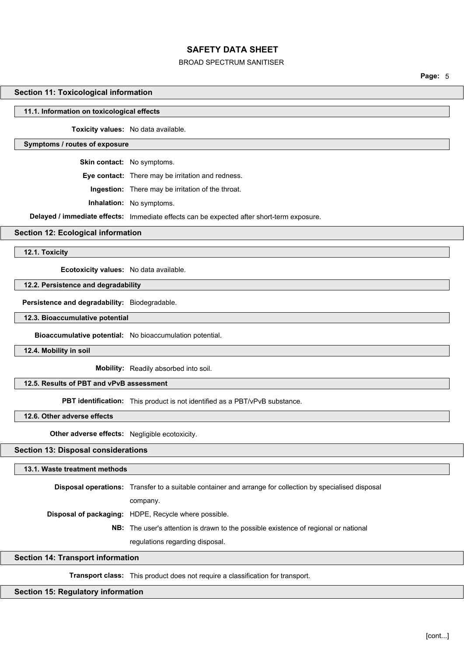### BROAD SPECTRUM SANITISER

**Page:** 5

#### **Section 11: Toxicological information**

#### **11.1. Information on toxicological effects**

**Toxicity values:** No data available.

#### **Symptoms / routes of exposure**

**Skin contact:** No symptoms.

**Eye contact:** There may be irritation and redness.

**Ingestion:** There may be irritation of the throat.

**Inhalation:** No symptoms.

**Delayed / immediate effects:** Immediate effects can be expected after short-term exposure.

#### **Section 12: Ecological information**

**12.1. Toxicity**

**Ecotoxicity values:** No data available.

**12.2. Persistence and degradability**

**Persistence and degradability:** Biodegradable.

**12.3. Bioaccumulative potential**

**Bioaccumulative potential:** No bioaccumulation potential.

**12.4. Mobility in soil**

**Mobility:** Readily absorbed into soil.

# **12.5. Results of PBT and vPvB assessment**

**PBT identification:** This product is not identified as a PBT/vPvB substance.

**12.6. Other adverse effects**

**Other adverse effects:** Negligible ecotoxicity.

### **Section 13: Disposal considerations**

#### **13.1. Waste treatment methods**

**Disposal operations:** Transfer to a suitable container and arrange for collection by specialised disposal

company.

**Disposal of packaging:** HDPE, Recycle where possible.

**NB:** The user's attention is drawn to the possible existence of regional or national

regulations regarding disposal.

#### **Section 14: Transport information**

**Transport class:** This product does not require a classification for transport.

#### **Section 15: Regulatory information**